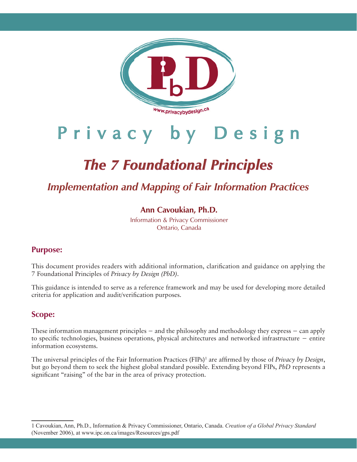

# Privacy by Design

## *The 7 Foundational Principles*

### *Implementation and Mapping of Fair Information Practices*

#### **Ann Cavoukian, Ph.D.**

Information & Privacy Commissioner Ontario, Canada

#### **Purpose:**

This document provides readers with additional information, clarification and guidance on applying the 7 Foundational Principles of *Privacy by Design (PbD)*.

This guidance is intended to serve as a reference framework and may be used for developing more detailed criteria for application and audit/verification purposes.

#### **Scope:**

These information management principles – and the philosophy and methodology they express – can apply to specific technologies, business operations, physical architectures and networked infrastructure − entire information ecosystems.

The universal principles of the Fair Information Practices (FIPs)1 are affirmed by those of *Privacy by Design*, but go beyond them to seek the highest global standard possible. Extending beyond FIPs, *PbD* represents a significant "raising" of the bar in the area of privacy protection.

<sup>1</sup> Cavoukian, Ann, Ph.D., Information & Privacy Commissioner, Ontario, Canada. *Creation of a Global Privacy Standard* (November 2006), at www.ipc.on.ca/images/Resources/gps.pdf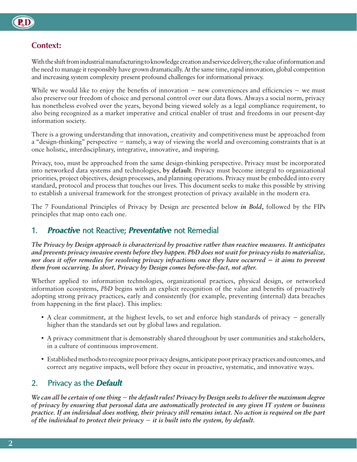

#### **Context:**

With the shift from industrial manufacturing to knowledge creation and service delivery, the value of information and the need to manage it responsibly have grown dramatically. At the same time, rapid innovation, global competition and increasing system complexity present profound challenges for informational privacy.

While we would like to enjoy the benefits of innovation  $-$  new conveniences and efficiencies  $-$  we must also preserve our freedom of choice and personal control over our data flows. Always a social norm, privacy has nonetheless evolved over the years, beyond being viewed solely as a legal compliance requirement, to also being recognized as a market imperative and critical enabler of trust and freedoms in our present-day information society.

There is a growing understanding that innovation, creativity and competitiveness must be approached from a "design-thinking" perspective − namely, a way of viewing the world and overcoming constraints that is at once holistic, interdisciplinary, integrative, innovative, and inspiring.

Privacy, too, must be approached from the same design-thinking perspective. Privacy must be incorporated into networked data systems and technologies, **by default**. Privacy must become integral to organizational priorities, project objectives, design processes, and planning operations. Privacy must be embedded into every standard, protocol and process that touches our lives. This document seeks to make this possible by striving to establish a universal framework for the strongest protection of privacy available in the modern era.

The 7 Foundational Principles of Privacy by Design are presented below *in Bold***,** followed by the FIPs principles that map onto each one.

#### 1. *Proactive* not Reactive; *Preventative* not Remedial

*The Privacy by Design approach is characterized by proactive rather than reactive measures. It anticipates and prevents privacy invasive events before they happen. PbD does not wait for privacy risks to materialize, nor does it offer remedies for resolving privacy infractions once they have occurred − it aims to prevent them from occurring. In short, Privacy by Design comes before-the-fact, not after.*

Whether applied to information technologies, organizational practices, physical design, or networked information ecosystems, *PbD* begins with an explicit recognition of the value and benefits of proactively adopting strong privacy practices, early and consistently (for example, preventing (internal) data breaches from happening in the first place). This implies:

- A clear commitment, at the highest levels, to set and enforce high standards of privacy − generally higher than the standards set out by global laws and regulation.
- • A privacy commitment that is demonstrably shared throughout by user communities and stakeholders, in a culture of continuous improvement.
- Established methods to recognize poor privacy designs, anticipate poor privacy practices and outcomes, and correct any negative impacts, well before they occur in proactive, systematic, and innovative ways.

#### 2. Privacy as the *Default*

*We can all be certain of one thing* − *the default rules! Privacy by Design seeks to deliver the maximum degree of privacy by ensuring that personal data are automatically protected in any given IT system or business practice. If an individual does nothing, their privacy still remains intact. No action is required on the part of the individual to protect their privacy* − *it is built into the system, by default.*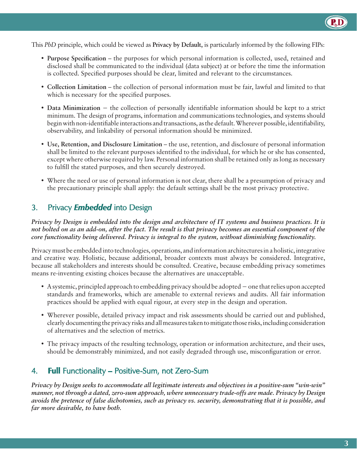

This *PbD* principle, which could be viewed as **Privacy by Default,** is particularly informed by the following FIPs:

- • **Purpose Specification** the purposes for which personal information is collected, used, retained and disclosed shall be communicated to the individual (data subject) at or before the time the information is collected. Specified purposes should be clear, limited and relevant to the circumstances.
- • **Collection Limitation** the collection of personal information must be fair, lawful and limited to that which is necessary for the specified purposes.
- • **Data Minimization** − the collection of personally identifiable information should be kept to a strict minimum. The design of programs, information and communications technologies, and systems should begin with non-identifiable interactions and transactions, as the default. Wherever possible, identifiability, observability, and linkability of personal information should be minimized.
- • **Use, Retention, and Disclosure Limitation** the use, retention, and disclosure of personal information shall be limited to the relevant purposes identified to the individual, for which he or she has consented, except where otherwise required by law. Personal information shall be retained only as long as necessary to fulfill the stated purposes, and then securely destroyed.
- Where the need or use of personal information is not clear, there shall be a presumption of privacy and the precautionary principle shall apply: the default settings shall be the most privacy protective.

#### 3. Privacy *Embedded* into Design

*Privacy by Design is embedded into the design and architecture of IT systems and business practices. It is not bolted on as an add-on, after the fact. The result is that privacy becomes an essential component of the core functionality being delivered. Privacy is integral to the system, without diminishing functionality.*

Privacy must be embedded into technologies, operations, and information architectures in a holistic, integrative and creative way. Holistic, because additional, broader contexts must always be considered. Integrative, because all stakeholders and interests should be consulted. Creative, because embedding privacy sometimes means re-inventing existing choices because the alternatives are unacceptable.

- • Asystemic, principled approach to embedding privacy should be adopted − one thatrelies upon accepted standards and frameworks, which are amenable to external reviews and audits. All fair information practices should be applied with equal rigour, at every step in the design and operation.
- Wherever possible, detailed privacy impact and risk assessments should be carried out and published, clearly documenting the privacy risks and all measures taken to mitigate those risks, including consideration of alternatives and the selection of metrics.
- The privacy impacts of the resulting technology, operation or information architecture, and their uses, should be demonstrably minimized, and not easily degraded through use, misconfiguration or error.

#### 4. **Full** Functionality – Positive-Sum, not Zero-Sum

*Privacy by Design seeks to accommodate all legitimate interests and objectives in a positive-sum "win-win" manner, not through a dated, zero-sum approach, where unnecessary trade-offs are made. Privacy by Design avoids the pretence of false dichotomies, such as privacy vs. security, demonstrating that it is possible, and far more desirable, to have both.*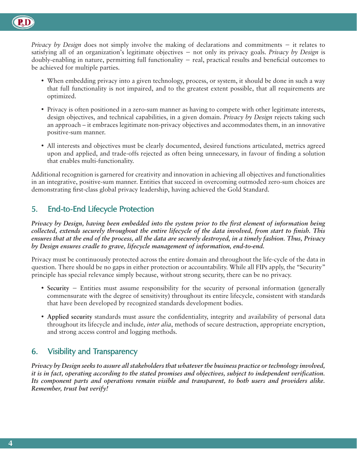

*Privacy by Design* does not simply involve the making of declarations and commitments − it relates to satisfying all of an organization's legitimate objectives − not only its privacy goals. *Privacy by Design* is doubly-enabling in nature, permitting full functionality − real, practical results and beneficial outcomes to be achieved for multiple parties.

- When embedding privacy into a given technology, process, or system, it should be done in such a way that full functionality is not impaired, and to the greatest extent possible, that all requirements are optimized.
- Privacy is often positioned in a zero-sum manner as having to compete with other legitimate interests, design objectives, and technical capabilities, in a given domain. *Privacy by Design* rejects taking such an approach – it embraces legitimate non-privacy objectives and accommodates them, in an innovative positive-sum manner.
- All interests and objectives must be clearly documented, desired functions articulated, metrics agreed upon and applied, and trade-offs rejected as often being unnecessary, in favour of finding a solution that enables multi-functionality.

Additional recognition is garnered for creativity and innovation in achieving all objectives and functionalities in an integrative, positive-sum manner. Entities that succeed in overcoming outmoded zero-sum choices are demonstrating first-class global privacy leadership, having achieved the Gold Standard.

#### 5. End-to-End Lifecycle Protection

*Privacy by Design, having been embedded into the system prior to the first element of information being collected, extends securely throughout the entire lifecycle of the data involved, from start to finish. This ensures that at the end of the process, all the data are securely destroyed, in a timely fashion. Thus, Privacy by Design ensures cradle to grave, lifecycle management of information, end-to-end.*

Privacy must be continuously protected across the entire domain and throughout the life-cycle of the data in question. There should be no gaps in either protection or accountability. While all FIPs apply, the "Security" principle has special relevance simply because, without strong security, there can be no privacy.

- Security Entities must assume responsibility for the security of personal information (generally commensurate with the degree of sensitivity) throughout its entire lifecycle, consistent with standards that have been developed by recognized standards development bodies.
- • **Applied security** standards must assure the confidentiality, integrity and availability of personal data throughout its lifecycle and include, *inter alia*, methods of secure destruction, appropriate encryption, and strong access control and logging methods.

#### 6. Visibility and Transparency

*Privacy by Design seeks to assure all stakeholders that whatever the business practice or technology involved, it is in fact, operating according to the stated promises and objectives, subject to independent verification. Its component parts and operations remain visible and transparent, to both users and providers alike. Remember, trust but verify!*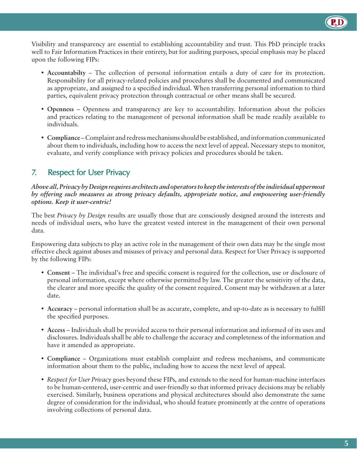

Visibility and transparency are essential to establishing accountability and trust. This PbD principle tracks well to Fair Information Practices in their entirety, but for auditing purposes, special emphasis may be placed upon the following FIPs:

- • **Accountabilty** The collection of personal information entails a duty of care for its protection. Responsibility for all privacy-related policies and procedures shall be documented and communicated as appropriate, and assigned to a specified individual. When transferring personal information to third parties, equivalent privacy protection through contractual or other means shall be secured.
- • **Openness** Openness and transparency are key to accountability. Information about the policies and practices relating to the management of personal information shall be made readily available to individuals.
- • **Compliance** Complaint and redress mechanisms should be established, and information communicated about them to individuals, including how to access the next level of appeal. Necessary steps to monitor, evaluate, and verify compliance with privacy policies and procedures should be taken.

#### 7. Respect for User Privacy

*Above all, Privacy by Design requires architects and operators to keep the interests of the individual uppermost by offering such measures as strong privacy defaults, appropriate notice, and empowering user-friendly options. Keep it user-centric!*

The best *Privacy by Design* results are usually those that are consciously designed around the interests and needs of individual users, who have the greatest vested interest in the management of their own personal data.

Empowering data subjects to play an active role in the management of their own data may be the single most effective check against abuses and misuses of privacy and personal data. Respect for User Privacy is supported by the following FIPs:

- • **Consent** The individual's free and specific consent is required for the collection, use or disclosure of personal information, except where otherwise permitted by law. The greater the sensitivity of the data, the clearer and more specific the quality of the consent required. Consent may be withdrawn at a later date.
- • **Accuracy** personal information shall be as accurate, complete, and up-to-date as is necessary to fulfill the specified purposes.
- • **Access** Individuals shall be provided access to their personal information and informed of its uses and disclosures. Individuals shall be able to challenge the accuracy and completeness of the information and have it amended as appropriate.
- • **Compliance** Organizations must establish complaint and redress mechanisms, and communicate information about them to the public, including how to access the next level of appeal.
- • *Respect for User Privacy* goes beyond these FIPs, and extends to the need for human-machine interfaces to be human-centered, user-centric and user-friendly so that informed privacy decisions may be reliably exercised. Similarly, business operations and physical architectures should also demonstrate the same degree of consideration for the individual, who should feature prominently at the centre of operations involving collections of personal data.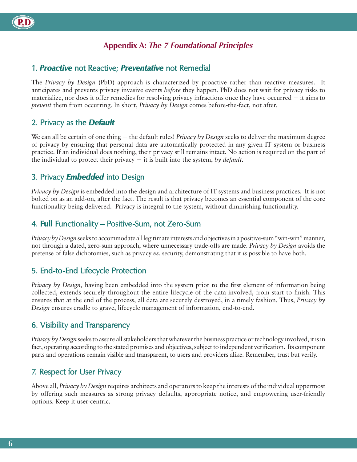#### **Appendix A:** *The 7 Foundational Principles*

#### 1. *Proactive* not Reactive; *Preventative* not Remedial

The *Privacy by Design* (PbD) approach is characterized by proactive rather than reactive measures. It anticipates and prevents privacy invasive events *before* they happen. PbD does not wait for privacy risks to materialize, nor does it offer remedies for resolving privacy infractions once they have occurred − it aims to *prevent* them from occurring. In short, *Privacy by Design* comes before-the-fact, not after.

#### 2. Privacy as the *Default*

We can all be certain of one thing − the default rules! *Privacy by Design* seeks to deliver the maximum degree of privacy by ensuring that personal data are automatically protected in any given IT system or business practice. If an individual does nothing, their privacy still remains intact. No action is required on the part of the individual to protect their privacy − it is built into the system, *by default.*

#### 3. Privacy *Embedded* into Design

*Privacy by Design* is embedded into the design and architecture of IT systems and business practices. It is not bolted on as an add-on, after the fact. The result is that privacy becomes an essential component of the core functionality being delivered. Privacy is integral to the system, without diminishing functionality.

#### 4. **Full** Functionality – Positive-Sum, not Zero-Sum

*Privacy by Design* seeks to accommodate all legitimate interests and objectives in a positive-sum "win-win" manner, not through a dated, zero-sum approach, where unnecessary trade-offs are made. *Privacy by Design* avoids the pretense of false dichotomies, such as privacy *vs.* security, demonstrating that it *is* possible to have both.

#### 5. End-to-End Lifecycle Protection

*Privacy by Design,* having been embedded into the system prior to the first element of information being collected, extends securely throughout the entire lifecycle of the data involved, from start to finish. This ensures that at the end of the process, all data are securely destroyed, in a timely fashion. Thus, *Privacy by Design* ensures cradle to grave, lifecycle management of information, end-to-end.

#### 6. Visibility and Transparency

*Privacy by Design* seeks to assure all stakeholders that whatever the business practice or technology involved, it is in fact, operating according to the stated promises and objectives, subject to independent verification. Its component parts and operations remain visible and transparent, to users and providers alike. Remember, trust but verify.

#### 7. Respect for User Privacy

Above all, *Privacy by Design* requires architects and operators to keep the interests of the individual uppermost by offering such measures as strong privacy defaults, appropriate notice, and empowering user-friendly options. Keep it user-centric.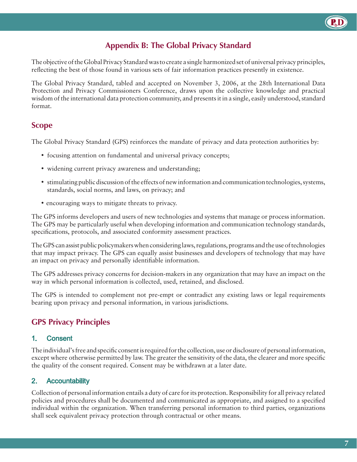

#### **Appendix B: The Global Privacy Standard**

The objective of the Global Privacy Standard was to create a single harmonized set of universal privacy principles, reflecting the best of those found in various sets of fair information practices presently in existence.

The Global Privacy Standard, tabled and accepted on November 3, 2006, at the 28th International Data Protection and Privacy Commissioners Conference, draws upon the collective knowledge and practical wisdom of the international data protection community, and presents it in a single, easily understood, standard format.

#### **Scope**

The Global Privacy Standard (GPS) reinforces the mandate of privacy and data protection authorities by:

- focusing attention on fundamental and universal privacy concepts;
- widening current privacy awareness and understanding;
- stimulating public discussion of the effects of new information and communication technologies, systems, standards, social norms, and laws, on privacy; and
- encouraging ways to mitigate threats to privacy.

The GPS informs developers and users of new technologies and systems that manage or process information. The GPS may be particularly useful when developing information and communication technology standards, specifications, protocols, and associated conformity assessment practices.

The GPS can assist public policymakers when considering laws, regulations, programs and the use of technologies that may impact privacy. The GPS can equally assist businesses and developers of technology that may have an impact on privacy and personally identifiable information.

The GPS addresses privacy concerns for decision-makers in any organization that may have an impact on the way in which personal information is collected, used, retained, and disclosed.

The GPS is intended to complement not pre-empt or contradict any existing laws or legal requirements bearing upon privacy and personal information, in various jurisdictions.

#### **GPS Privacy Principles**

#### 1. Consent

The individual's free and specific consent is required for the collection, use or disclosure of personal information, except where otherwise permitted by law. The greater the sensitivity of the data, the clearer and more specific the quality of the consent required. Consent may be withdrawn at a later date.

#### 2. Accountability

Collection of personal information entails a duty of care for its protection. Responsibility for all privacy related policies and procedures shall be documented and communicated as appropriate, and assigned to a specified individual within the organization. When transferring personal information to third parties, organizations shall seek equivalent privacy protection through contractual or other means.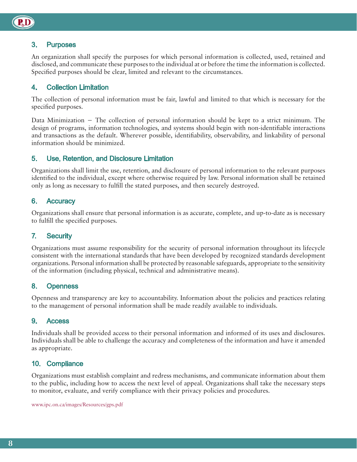

#### 3. Purposes

An organization shall specify the purposes for which personal information is collected, used, retained and disclosed, and communicate these purposes to the individual at or before the time the information is collected. Specified purposes should be clear, limited and relevant to the circumstances.

#### 4. Collection Limitation

The collection of personal information must be fair, lawful and limited to that which is necessary for the specified purposes.

Data Minimization − The collection of personal information should be kept to a strict minimum. The design of programs, information technologies, and systems should begin with non-identifiable interactions and transactions as the default. Wherever possible, identifiability, observability, and linkability of personal information should be minimized.

#### 5. Use, Retention, and Disclosure Limitation

Organizations shall limit the use, retention, and disclosure of personal information to the relevant purposes identified to the individual, except where otherwise required by law. Personal information shall be retained only as long as necessary to fulfill the stated purposes, and then securely destroyed.

#### 6. Accuracy

Organizations shall ensure that personal information is as accurate, complete, and up-to-date as is necessary to fulfill the specified purposes.

#### 7. Security

Organizations must assume responsibility for the security of personal information throughout its lifecycle consistent with the international standards that have been developed by recognized standards development organizations. Personal information shall be protected by reasonable safeguards, appropriate to the sensitivity of the information (including physical, technical and administrative means).

#### 8. Openness

Openness and transparency are key to accountability. Information about the policies and practices relating to the management of personal information shall be made readily available to individuals.

#### 9. Access

Individuals shall be provided access to their personal information and informed of its uses and disclosures. Individuals shall be able to challenge the accuracy and completeness of the information and have it amended as appropriate.

#### 10. Compliance

Organizations must establish complaint and redress mechanisms, and communicate information about them to the public, including how to access the next level of appeal. Organizations shall take the necessary steps to monitor, evaluate, and verify compliance with their privacy policies and procedures.

www.ipc.on.ca/images/Resources/gps.pdf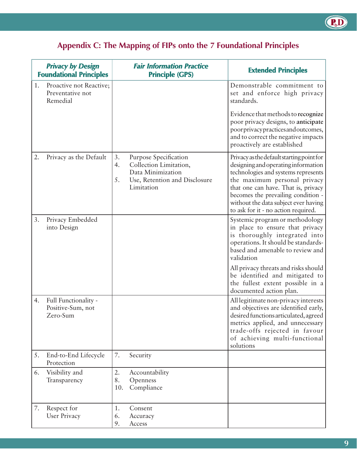

## **Appendix C: The Mapping of FIPs onto the 7 Foundational Principles**

| <b>Privacy by Design</b><br><b>Foundational Principles</b> |                                                         |                 | <b>Fair Information Practice</b><br><b>Principle (GPS)</b>                                                          | <b>Extended Principles</b>                                                                                                                                                                                                                                                                                          |
|------------------------------------------------------------|---------------------------------------------------------|-----------------|---------------------------------------------------------------------------------------------------------------------|---------------------------------------------------------------------------------------------------------------------------------------------------------------------------------------------------------------------------------------------------------------------------------------------------------------------|
| 1.                                                         | Proactive not Reactive;<br>Preventative not<br>Remedial |                 |                                                                                                                     | Demonstrable commitment to<br>set and enforce high privacy<br>standards.                                                                                                                                                                                                                                            |
|                                                            |                                                         |                 |                                                                                                                     | Evidence that methods to recognize<br>poor privacy designs, to anticipate<br>poorprivacypracticesandoutcomes,<br>and to correct the negative impacts<br>proactively are established                                                                                                                                 |
| 2.                                                         | Privacy as the Default                                  | 3.<br>4.<br>5.  | Purpose Specification<br>Collection Limitation,<br>Data Minimization<br>Use, Retention and Disclosure<br>Limitation | Privacy as the default starting point for<br>designing and operating information<br>technologies and systems represents<br>the maximum personal privacy<br>that one can have. That is, privacy<br>becomes the prevailing condition -<br>without the data subject ever having<br>to ask for it - no action required. |
| 3.                                                         | Privacy Embedded<br>into Design                         |                 |                                                                                                                     | Systemic program or methodology<br>in place to ensure that privacy<br>is thoroughly integrated into<br>operations. It should be standards-<br>based and amenable to review and<br>validation                                                                                                                        |
|                                                            |                                                         |                 |                                                                                                                     | All privacy threats and risks should<br>be identified and mitigated to<br>the fullest extent possible in a<br>documented action plan.                                                                                                                                                                               |
| 4.                                                         | Full Functionality -<br>Positive-Sum, not<br>Zero-Sum   |                 |                                                                                                                     | All legitimate non-privacy interests<br>and objectives are identified early,<br>desired functions articulated, agreed<br>metrics applied, and unnecessary<br>trade-offs rejected in favour<br>of achieving multi-functional<br>solutions                                                                            |
| 5.                                                         | End-to-End Lifecycle<br>Protection                      | 7.              | Security                                                                                                            |                                                                                                                                                                                                                                                                                                                     |
| 6.                                                         | Visibility and<br>Transparency                          | 2.<br>8.<br>10. | Accountability<br>Openness<br>Compliance                                                                            |                                                                                                                                                                                                                                                                                                                     |
| 7.                                                         | Respect for<br>User Privacy                             | 1.<br>6.<br>9.  | Consent<br>Accuracy<br>Access                                                                                       |                                                                                                                                                                                                                                                                                                                     |